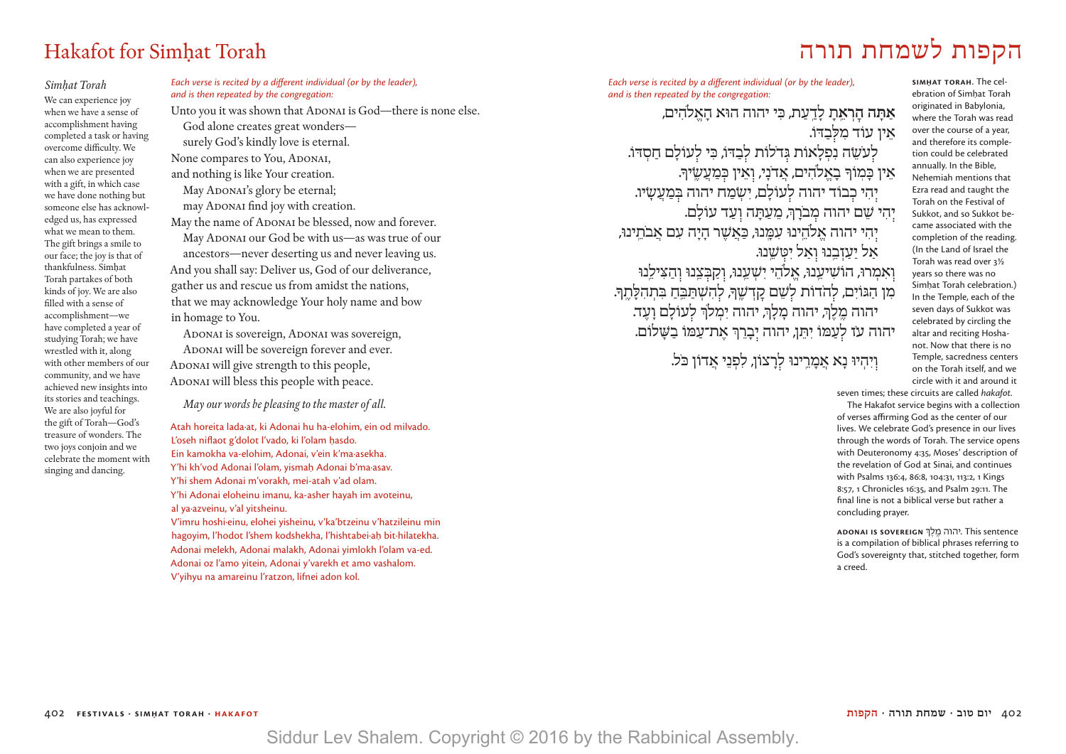# Hakafot for Simḥat Torah תורה לשמחת הקפות

#### *Simḥat Torah* We can experience joy when we have a sense of accomplishment having completed a task or having overcome difficulty. We can also experience joy when we are presented with a gift, in which case we have done nothing but someone else has acknowledged us, has expressed what we mean to them. The gift brings a smile to our face; the joy is that of thankfulness. Simhat Torah partakes of both kinds of joy. We are also filled with a sense of accomplishment—we have completed a year of studying Torah; we have wrestled with it, along with other members of our community, and we have achieved new insights into its stories and teachings. We are also joyful for the gift of Torah—God's treasure of wonders. The two joys conjoin and we celebrate the moment with singing and dancing.

*Each verse is recited by a different individual (or by the leader), and is then repeated by the congregation:*

Unto you it was shown that ADONAI is God—there is none else. God alone creates great wonders surely God's kindly love is eternal. None compares to You, ADONAI, and nothing is like Your creation. May ADONAI's glory be eternal; may ADONAI find joy with creation. May the name of ADONAI be blessed, now and forever. May ADONAI our God be with us-as was true of our ancestors—never deserting us and never leaving us. And you shall say: Deliver us, God of our deliverance, gather us and rescue us from amidst the nations, that we may acknowledge Your holy name and bow in homage to You.

ADONAI is sovereign, ADONAI was sovereign, ADONAI will be sovereign forever and ever. ADONAI will give strength to this people, ADONAI will bless this people with peace.

*May our words be pleasing to the master of all.*

Atah horeita lada·at, ki Adonai hu ha-elohim, ein od milvado. L'oseh niflaot g'dolot l'vado, ki l'olam hasdo. Ein kamokha va-elohim, Adonai, v'ein k'ma·asekha. Y'hi kh'vod Adonai l'olam, yismah|.| Adonai b'ma·asav. Y'hi shem Adonai m'vorakh, mei-atah v'ad olam. Y'hi Adonai eloheinu imanu, ka-asher hayah im avoteinu, al ya·azveinu, v'al yitsheinu. V'imru hoshi·einu, elohei yisheinu, v'ka'btzeinu v'hatzileinu min

hagoyim, l'hodot l'shem kodshekha, l'hishtabei·ah bit·hilatekha. Adonai melekh, Adonai malakh, Adonai yimlokh l'olam va-ed. Adonai oz l'amo yitein, Adonai y'varekh et amo vashalom. V'yihyu na amareinu l'ratzon, lifnei adon kol.

*Each verse is recited by a different individual (or by the leader), and is then repeated by the congregation:*

**אַ תָּ ה הׇ רְ אֵ ֽ תָ** לָ דַ ֽ עַ ת, כִּ י יהוה הוּא הָ אֱ ֹלהִ ים, אֵין עוֹד מִלְּבַדּוֹ. לְעֹשֵׂה נִפְלָאוֹת גְּדלוֹת לְבַדּוֹ, כִּי לְעוֹלָם חַסְדּוֹ. אֵין כָּמְוֹךְ בָאֱלֹהִים, אֲדֹנָי, וְאֵין כְּמַעֲשֶׂיךָ. יִהִי כְבוֹד יהוה לְעוֹלָם, יִשְׂמַח יהוה בִּמַעֲשָׂיו. יִהִי שֵׁם יהוה מִבֹרָךְ, מֵעַתָּה וְעַד עוֹלָם. יִהִי יהוה אֱלֹהֵינוּ עִמֲנוּ, כַּאֲשֶׁר הַיָּה עָם אֲבֹתֵינוּ, אל יעזבנוּ ואל יטַשנוּ. וְאִמְרוּ, הוֹשִׁיעֵנוּ, אֵלֹהֵי יִשְׁעֲנוּ, וְקַבְּצֵנוּ וְהַצִּילֵנוּ <sup>ֹ</sup>מִן הַגּוֹיִם, לְהֹדוֹת לְשֵׁם קַדְשֵׁךְ, לְהִשְׁתַּבֵּ֑חַ בִּתְהִלָּתֵךְ. יהוה מֱלֵךְ, יהוה מָלָךְ, יהוה יִמְלֹךְ לְעוֹלָם וָעֶד. יהוה עז לְעַמּוֹ יִתֵּן, יהוה יִבְרֵךְ אֵת־עַמּוֹ בַשָּׁלוֹם.

ויהיוּ נא אמרינוּ לרצוֹן, לפני אדוֹן כֹּל.

**SIMHAT TORAH.** The celebration of Simhat Torah originated in Babylonia, where the Torah was read over the course of a year, and therefore its completion could be celebrated annually. In the Bible, Nehemiah mentions that Ezra read and taught the Torah on the Festival of Sukkot, and so Sukkot became associated with the completion of the reading. (In the Land of Israel the Torah was read over 3½ years so there was no Simhat Torah celebration.) In the Temple, each of the seven days of Sukkot was celebrated by circling the altar and reciting Hoshanot. Now that there is no Temple, sacredness centers on the Torah itself, and we circle with it and around it

seven times; these circuits are called *hakafot*. The Hakafot service begins with a collection of verses affirming God as the center of our lives. We celebrate God's presence in our lives through the words of Torah. The service opens with Deuteronomy 4:35, Moses' description of the revelation of God at Sinai, and continues with Psalms 136:4, 86:8, 104:31, 113:2, 1 Kings 8:57, 1 Chronicles 16:35, and Psalm 29:11. The final line is not a biblical verse but rather a concluding prayer.

**Adonai is sovereign** ְ sentence This .יהוה מֶ ֽ לֶ ך is a compilation of biblical phrases referring to God's sovereignty that, stitched together, form a creed.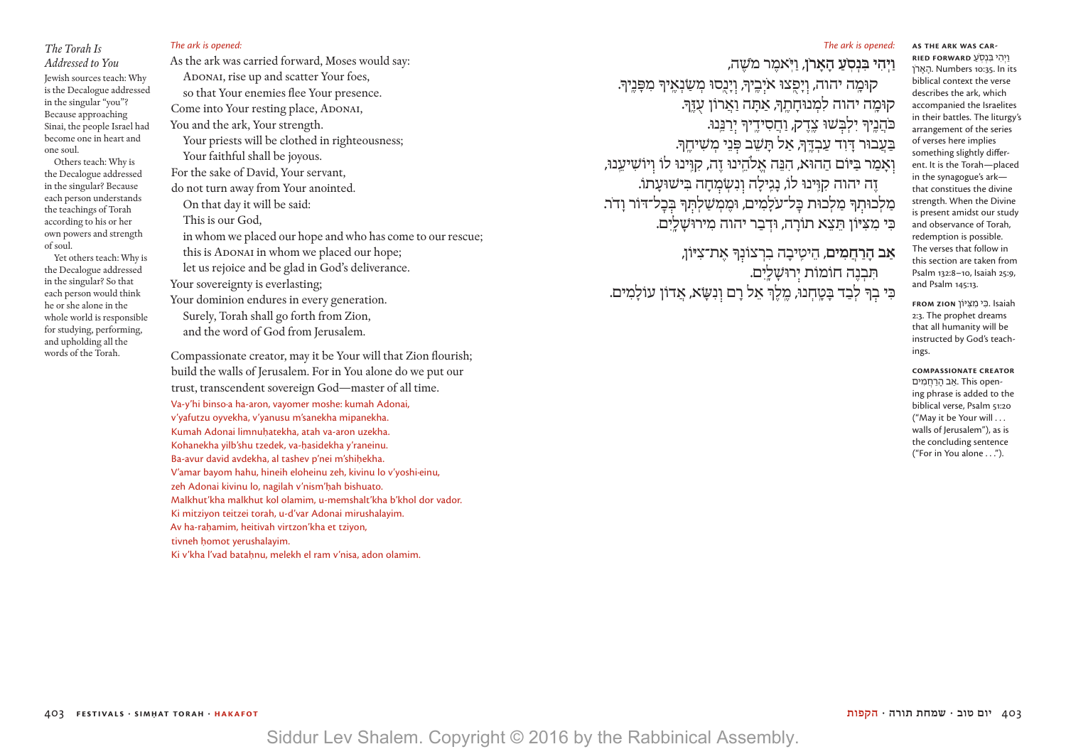## *The Torah Is Addressed to You* Jewish sources teach: Why is the Decalogue addressed in the singular "you"? Because approaching Sinai, the people Israel had become one in heart and one soul.

 Others teach: Why is the Decalogue addressed in the singular? Because each person understands the teachings of Torah according to his or her own powers and strength of soul.

 Yet others teach: Why is the Decalogue addressed in the singular? So that each person would think he or she alone in the whole world is responsible for studying, performing, and upholding all the words of the Torah.

#### *The ark is opened:*

As the ark was carried forward, Moses would say: ADONAI, rise up and scatter Your foes, so that Your enemies flee Your presence. Come into Your resting place, ADONAI, You and the ark, Your strength. Your priests will be clothed in righteousness; Your faithful shall be joyous. For the sake of David, Your servant, do not turn away from Your anointed. On that day it will be said: This is our God, in whom we placed our hope and who has come to our rescue; this is ADONAI in whom we placed our hope; let us rejoice and be glad in God's deliverance. Your sovereignty is everlasting; Your dominion endures in every generation. Surely, Torah shall go forth from Zion, and the word of God from Jerusalem.

Compassionate creator, may it be Your will that Zion flourish; build the walls of Jerusalem. For in You alone do we put our trust, transcendent sovereign God—master of all time. Va-y'hi binso·a ha-aron, vayomer moshe: kumah Adonai, v'yafutzu oyvekha, v'yanusu m'sanekha mipanekha. Kumah Adonai limnuhatekha, atah va-aron uzekha. Kohanekha yilb'shu tzedek, va-hasidekha y'raneinu. Ba-avur david avdekha, al tashev p'nei m'shihekha. V'amar bayom hahu, hineih eloheinu zeh, kivinu lo v'yoshi·einu, zeh Adonai kivinu lo, nagilah v'nism'hah bishuato. Malkhut'kha malkhut kol olamim, u-memshalt'kha b'khol dor vador. Ki mitziyon teitzei torah, u-d'var Adonai mirushalayim. Av ha-rahamim, heitivah virtzon'kha et tzivon, tivneh homot verushalayim. Ki v'kha l'vad batahnu, melekh el ram v'nisa, adon olamim.

#### *The ark is opened:*

**וַ יְ הִ י בִּ נְ סֽ ֹ ֹ עַ הָ אָ רן**, וַ יּֽ ֹאמֶ ר מֹשֶׁ ה, ֿקוּמָה יהוה, וְיָפֶצוּ איִבֵיךְ, וְיָנֶסוּ מִשַׂנְאֵיךְ מִפָּנֵיךְ. קוּמֵה יהוה לִמְנוּחַתֵּךְ, אַתַּה וַאֲרוֹן עָזֶךָּ. ֹכּהֲ נֶ ֽיָך יִ לְ בּ שׁוּ צֶ ֽדֶ ק, וַ חֲ סִ ידֶ ֽ יָך י רַ נֵּ ֽנוּ. בַּעֲבוּר דִּוִד עַבְדֶּךָ, אַל תַּשֵׁב פִּנֵי מִשִׁיחֵךָ. ואמר בּיּוֹם ההוּא, הנַה אלֹהינוּ זה, קוּינוּ לוֹ ויוֹשִׁיעַנוּ, זֶ ה יהוה קִ וִּֽ ינוּ לוֹ, נָ גִֽ ילָ ה ו נִ שְׂ מ חָ ה בִּ ישׁוּעָ תוֹ. מַלְכוּתְךּ מַלְכוּת כְּל־עֹלָמִים, וּמֶמְשַׁלְתְּךָ בְּכָל־דּוֹר וָדֹר. כִּי מִצִיּוֹן תִּצֵא תוֹרה, וּדְבַר יהוה מִירוּשַׁלִים.

**אַ ב הָ רַ חֲ מִ ים**, הֵ יטִֽ יבָ ה בִ רְ צוֹנ ָך אֶ ת־צִ יּוֹן, תִּ בִנה חוֹמוֹת יְרוּשָׁלִים. כִּ י ב ָך לְ בַ ד בָּ טָ ֽ חְ נוּ, מֶ ֽ לֶ ְך אֵ ל רָ ם ו נִ שָּׂ א, אֲ דוֹן עוֹלָ מִ ים.

וַ יְ הִ י בּ ִ נְ סֽ ֹעַ **forward ried-AS THE ARK WAS CAR-**הארן. Numbers 10:35. In its biblical context the verse describes the ark, which accompanied the Israelites in their battles. The liturgy's arrangement of the series of verses here implies something slightly different. It is the Torah—placed in the synagogue's ark that constitues the divine strength. When the Divine is present amidst our study and observance of Torah, redemption is possible. The verses that follow in this section are taken from Psalm 132:8–10, Isaiah 25:9, and Psalm 145:13.

 Isaiah . וּ�ִ י מִ וּ� ִ יּ ֹ�ן **Zion from** 2:3. The prophet dreams that all humanity will be instructed by God's teachings.

#### **compassionate creator**

ים. This opening phrase is added to the biblical verse, Psalm 51:20 ("May it be Your will . . . walls of Jerusalem"), as is the concluding sentence ("For in You alone . . .").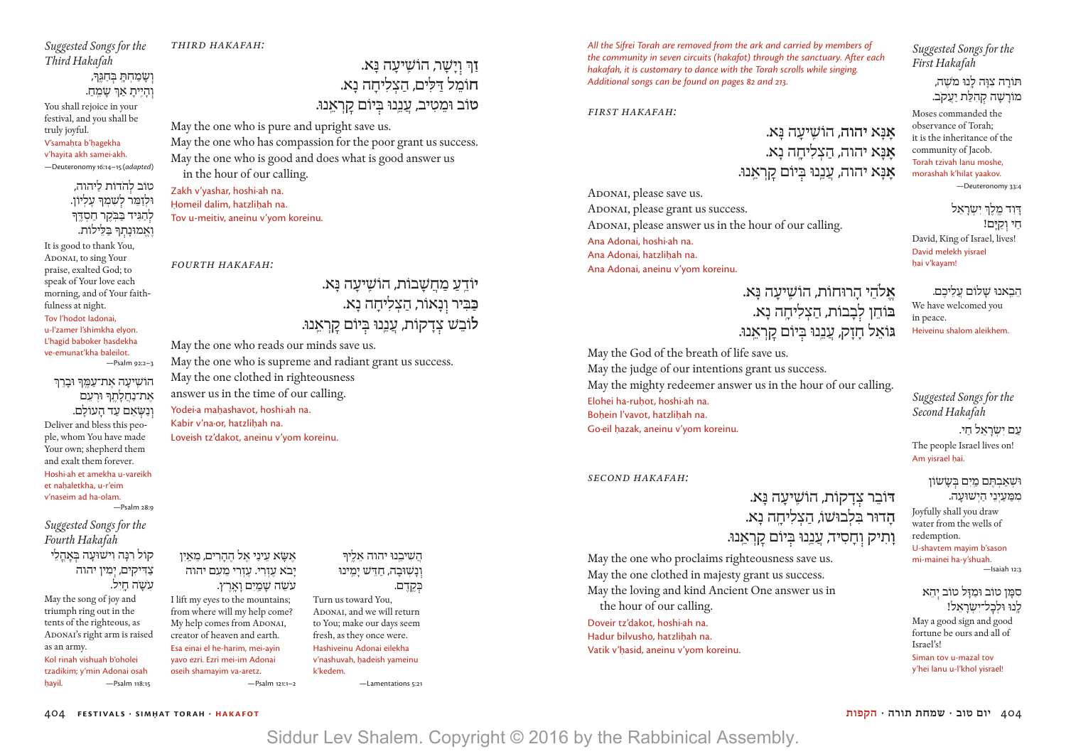*Suggested Songs for the Third Hakafah* 

*third Hakafah:*

May the one who is pure and upright save us.

May the one who reads our minds save us.

May the one clothed in righteousness answer us in the time of our calling.

Yodei<sub>a</sub> mahashavot, hoshi<sub>ah na.</sub> Kabir v'na·or, hatzlihah na.

Loveish tz'dakot, aneinu v'yom koreinu.

May the one who is supreme and radiant grant us success.

in the hour of our calling.

Tov u-meitiv, aneinu v'yom koreinu.

Zakh v'yashar, hoshi·ah na. Homeil dalim, hatzlihah na.

*fourth Hakafah:*

May the one who has compassion for the poor grant us success. May the one who is good and does what is good answer us

# וְשָׂמַחְתָּ בְּחַגֵּך*ּ*,

והֵיִּית**ָ** אַרְּ שַׂמֵחַ.

You shall rejoice in your festival, and you shall be truly joyful. V'samahta b'hagekha v'hayita akh samei∙akh.

—Deuteronomy 16:14–15 (*adapted*)

# טוֹב ֹל הדוֹת לַ יהוה, וּלְזַמֵּר לְשָׁמִךְ עֵלְיוֹן. לְהַגִּיד בַּבִּקֶר חַסְדֵּךּ ואמוּנתךּ בּלילוֹת.

It is good to thank You, ADONAI, to sing Your praise, exalted God; to speak of Your love each morning, and of Your faithfulness at night. Tov l'hodot ladonai, u-l'zamer l'shimkha elyon. L'hagid baboker hasdekha ve-emunat'kha baleilot. —Psalm 92:2–3

## הוֹשֵׁיעַה אֶת־עַמֵּךְ וּבַרֵךְ את־נחלתף וּרעַם ונשׂאם עד העוֹלם. Deliver and bless this people, whom You have made Your own; shepherd them and exalt them forever. Hoshi∙ah et amekha u-vareikh et nahaletkha, u-r'eim

v'naseim ad ha-olam. —Psalm 28:9

*Suggested Songs for the Fourth Hakafah*  קוֹל רִנְה וישׁוּעָה בֵאהלי צַדִּיקִים, יְמִין יהוה עשׂה חיל.

May the song of joy and triumph ring out in the tents of the righteous, as ADONAI's right arm is raised as an army. Kol rinah vishuah b'oholei

tzadikim; y'min Adonai osah hayil. — Psalm 118:15

אָשָׂא עִינִי אַל ההרים, מַאין יִבֹא עזרי. עזרי מעם יהוה ָעֹשׂה שַׁמִים וַארץ.

I lift my eyes to the mountains; from where will my help come? My help comes from ADONAI, creator of heaven and earth. Esa einai el he-harim, mei-ayin yavo ezri. Ezri mei-im Adonai oseih shamayim va-aretz. —Psalm 121:1–2

# הֲ שִׁ יבֵ ֽנוּ יהוה אֵ לֶ ֽיָך ונשׁוּבה, חדש ימינוּ

**ז**ַר וישׁר, הוֹשיעה נ**ּ**א. **ח**וֹמֵ ל דַּ לִּ ים, הַ צְ לִ יחָ ה נָ א.

טוֹב וּמֵטִיב, עֲנֵנוּ בִּיוֹם קַרְאֵנוּ.

**יוֹדֵעַ מַחֲשָׁבוֹת, הוֹשִׁיעַה נַּא.** כַּבִּיר וְנָאוֹר, הַצְלִיחָה נָא.

לוֹבֵשׁ צִדַקוֹת, עֲנֵנוּ בִּיוֹם קַרְאֵנוּ.

כִּקֱדֶם. Turn us toward You, ADONAI, and we will return to You; make our days seem fresh, as they once were. Hashiveinu Adonai eilekha v'nashuvah, hadeish vameinu k'kedem.

—Lamentations 5:21

*All the Sifrei Torah are removed from the ark and carried by members of the community in seven circuits (hakafot) through the sanctuary. After each hakafah, it is customary to dance with the Torah scrolls while singing. Additional songs can be found on pages 82 and 213.*

# *First Hakafah:*

ADONAI, please save us.

Ana Adonai, hoshi∙ah na. Ana Adonai, hatzlihah na.

ADONAI, please grant us success.

Ana Adonai, aneinu v'yom koreinu.

ADONAI, please answer us in the hour of our calling.

**אָ** נָּ א **יהוה,** הוֹשִֽׁ יעָ ה נָּ א. **אָ** נָּ א יהוה, הַ צְ לִ יחָ ֽ ה נָ א. אָנָּא יהוה, עֲנֵנוּ בְּיוֹם קַרְאֵנוּ.

**א**להי הרוּחוֹת, הוֹשִׁיעָה נַּא. בּוֹחֵן לִבְבוֹת, הַצְלִיחֶה נָא.

*Suggested Songs for the First Hakafah* 

> תּוֹרה צוּה לנוּ מ*ֹש*ֶה, מוֹרשׁה קהלת יעקב.

Moses commanded the observance of Torah; it is the inheritance of the community of Jacob. Torah tzivah lanu moshe, morashah k'hilat yaakov.

—Deuteronomy 33:4

דּוד מלך*י ישׂרא*ל חי וקים! David, King of Israel, lives! David melekh yisrael hai v'kayam!

הבאנוּ שלוֹם עליכם. We have welcomed you in peace. Heiveinu shalom aleikhem.

*Suggested Songs for the Second Hakafah* 

עם ישׂראל חי.

**גּוֹאֵל חָזָק, עֲנֵנוּ בְּיוֹם קַרְאַנוּ.** May the God of the breath of life save us. May the judge of our intentions grant us success. May the mighty redeemer answer us in the hour of our calling. Elohei ha-ruhot, hoshi∙ah na. Bohein l'vavot, hatzlihah na. Go·eil hazak, aneinu v'yom koreinu.

*Second Hakafah:*

**דּ**וֹבֵ ר צ דָ קוֹת, הוֹשִֽׁ יעָ ה נָּ א. **הָ** דוּר בִּ לְ בוּשׁוֹ, הַ צְ לִ יחָ ֽ ה נָ א. **וָהִיק וְחָסִיד, עֲנֵנוּ בְּיוֹם קַרְאֵנוּ.** 

May the one who proclaims righteousness save us. May the one clothed in majesty grant us success. May the loving and kind Ancient One answer us in the hour of our calling. Doveir tz'dakot, hoshi∙ah na. Hadur bilvusho, hatzlihah na. Vatik v'hasid, aneinu v'yom koreinu.

The people Israel lives on! Am yisrael hai. וּשָׁ *אַ*בְתֵּם מֵיִם בְּשָׂשׂוֹן ממּ עיני הישוּעה. Joyfully shall you draw

water from the wells of redemption. U-shavtem mayim b'sason mi-mainei ha-y'shuah.  $\equiv$ Isaiah 12:2

סמו טוֹב וּמזִּל טוֹב יהא ינוּ וּלכל־*יש*ׂראל! May a good sign and good fortune be ours and all of Israel's! Siman tov u-mazal tov y'hei lanu u-l'khol yisrael!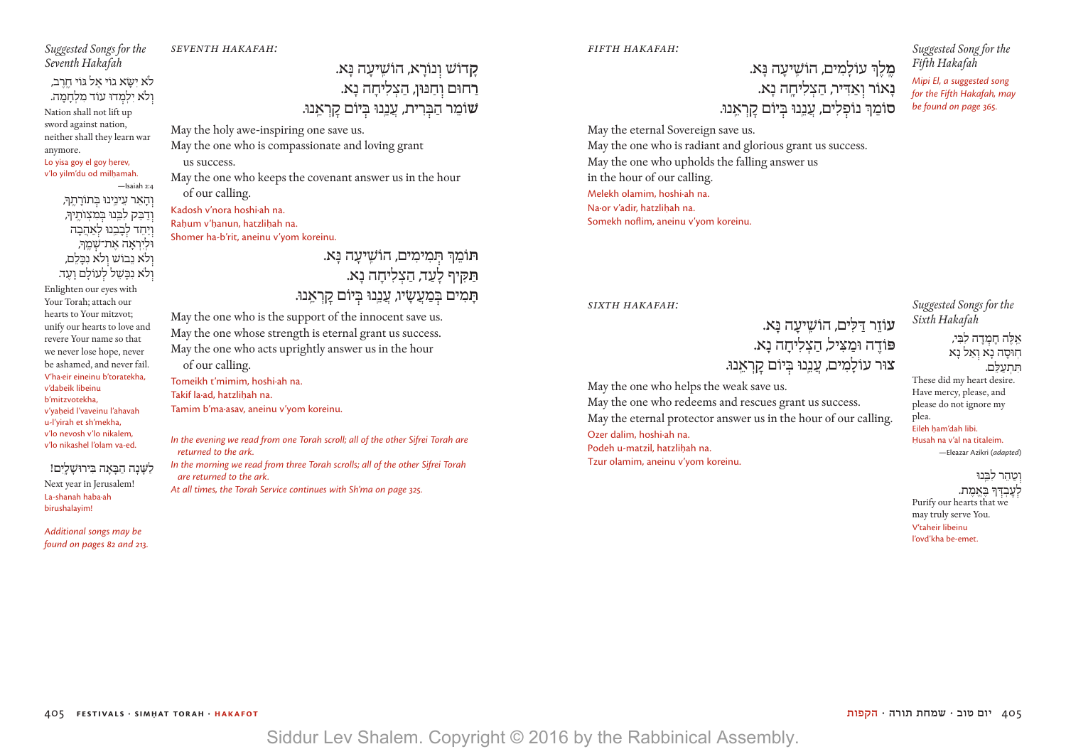v'dabeik libeinu b'mitzvotekha, v'vaheid l'vaveinu l'ahavah

u-l'yirah et sh'mekha, v'lo nevosh v'lo nikalem, v'lo nikashel l'olam va-ed.

*Suggested Songs for the Seventh Hakafah* 

לֹא ישָׂא גוֹי אל גּוֹי חרב, ולא ילמדוּ עוֹד מלחמה. Nation shall not lift up sword against nation, neither shall they learn war

anymore.

Lo yisa goy el goy herev, v'lo yilm'du od milhamah.

וְהָאֵר עֵינֵינוּ בִּתוֹרָתֵךּ, וֹדַבֵּק לִבֵּנוּ בִּמִצְוֹתֵיךָ, יַחֵד לִבָּבֵנוּ לִאַהֲבָה וּלִיראה את־*שׁ*מִרּ, ולא נבוש ולא נכלם, וְלֹא נִכַּשֶׁל לְעוֹלַם וַעֲד. Enlighten our eyes with Your Torah; attach our hearts to Your mitzvot; unify our hearts to love and revere Your name so that we never lose hope, never be ashamed, and never fail. V'ha·eir eineinu b'toratekha,

—Isaiah 2:4

לשנה הבאה בירוּשלים! Next year in Jerusalem! La-shanah haba·ah birushalayim!

*Additional songs may be found on pages 82 and 213.* *seventh Hakafah:*

**קָ** דוֹשׁ ו נוֹרָ א, הוֹשִֽׁ יעָ ה נָּ א. **רַ** חוּם ו חַ נּוּן, הַ צְ לִ יחָ ה נָ א. **שׁ**וֹמֵ ר הַ בּ רִ ית, עֲ נֵ ֽנוּ ּב יוֹם קׇ רְ אֵ ֽ נוּ.

May the holy awe-inspiring one save us. May the one who is compassionate and loving grant

 us success. May the one who keeps the covenant answer us in the hour of our calling. Kadosh v'nora hoshi∙ah na.

Rahum v'hanun, hatzlihah na. Shomer ha-b'rit, aneinu v'yom koreinu.

> **תּ**וֹמֵ ְך תּ מִ ימִ ים**,** הוֹשִֽׁ יעָ ה נָּ א. תּקיף לעד, הצליחה נא. תָּמִים ב*ִּמַעֲשָׂיוּ, עֲבֵנוּ בְּיוֹם קַרְאֵנוּ.*

May the one who is the support of the innocent save us. May the one whose strength is eternal grant us success. May the one who acts uprightly answer us in the hour of our calling. Tomeikh t'mimim, hoshi∙ah na. Takif la·ad, hatzlihah na.

Tamim b'ma·asav, aneinu v'yom koreinu.

*In the evening we read from one Torah scroll; all of the other Sifrei Torah are returned to the ark.*

*In the morning we read from three Torah scrolls; all of the other Sifrei Torah are returned to the ark.*

*At all times, the Torah Service continues with Sh'ma on page 325.*

*fifth Hakafah:*

**מֵלֵךְ עוֹלָמִים, הוֹשֵׁיעַה נָּא. נְאוֹר וְאַדִּיר, הַצְלִיחֲה נָא. ס**וֹמֵ ְך נוֹפ לִ ים, עֲ נֵ ֽנוּ ּב יוֹם קׇ רְ אֵ ֽ נוּ. *Suggested Song for the Fifth Hakafah* 

*Mipi El, a suggested song for the Fifth Hakafah, may be found on page 365.*

May the eternal Sovereign save us. May the one who is radiant and glorious grant us success. May the one who upholds the falling answer us in the hour of our calling. Melekh olamim, hoshi∙ah na. Na·or v'adir, hatzlihah na. Somekh noflim, aneinu v'yom koreinu.

## *sixth Hakafah:*

**עוֹזר ד**ּלים, הוֹשִׁיעָה נַּא. פּוֹדֶה וּמַצִ*ּיל, הַצְלִיחַה נָא.* צוּר עוֹלִמים, עננוּ בִּיוֹם קראנוּ.

May the one who helps the weak save us. May the one who redeems and rescues grant us success. May the eternal protector answer us in the hour of our calling. Ozer dalim, hoshi∙ah na. Podeh u-matzil, hatzlihah na. Tzur olamim, aneinu v'yom koreinu.

*Suggested Songs for the Sixth Hakafah* 

אלה חמדה לבּי, חוּסה נא ואל נא תתעלם. These did my heart desire. Have mercy, please, and please do not ignore my plea.

Eileh ham'dah libi. Husah na v'al na titaleim. —Eleazar Azikri (*adapted*)

מזהר לִרּוּוּ .<br>עבדר באמת Purify our hearts that we may truly serve You. V'taheir libeinu l'ovd'kha be-emet.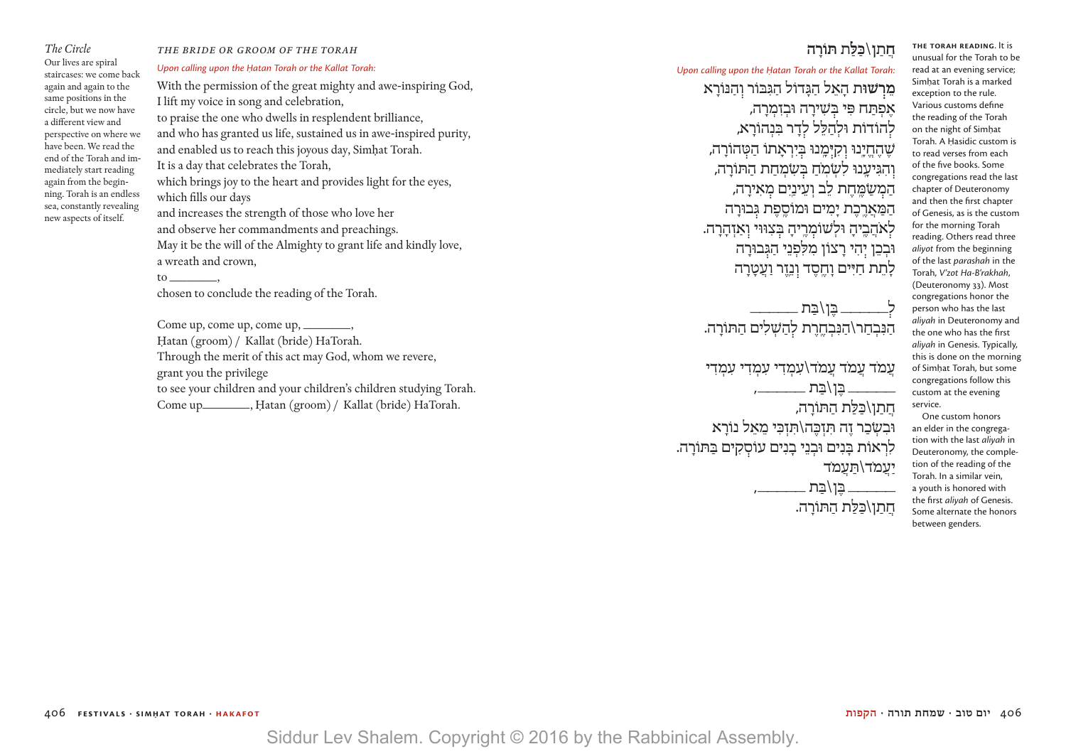# to \_\_\_\_\_\_\_\_,

*The Circle* Our lives are spiral staircases: we come back again and again to the same positions in the circle, but we now have a different view and perspective on where we have been. We read the end of the Torah and immediately start reading again from the beginning. Torah is an endless sea, constantly revealing new aspects of itself. *Upon calling upon the Hatan Torah or the Kallat Torah:* which fills our days

# *the bride or groom of the torah*

With the permission of the great mighty and awe-inspiring God, I lift my voice in song and celebration, to praise the one who dwells in resplendent brilliance, and who has granted us life, sustained us in awe-inspired purity, and enabled us to reach this joyous day, Simḥat Torah. It is a day that celebrates the Torah, which brings joy to the heart and provides light for the eyes,

and increases the strength of those who love her and observe her commandments and preachings. May it be the will of the Almighty to grant life and kindly love, a wreath and crown,

chosen to conclude the reading of the Torah.

Come up, come up, come up, \_\_\_\_\_\_\_, Ḥatan (groom) / Kallat (bride) HaTorah. Through the merit of this act may God, whom we revere, grant you the privilege to see your children and your children's children studying Torah. Come up\_\_\_\_\_\_\_\_, Hatan (groom) / Kallat (bride) HaTorah.

# **חֲ תַ ן**\**כַּ לַּ ת תּוֹרָ ה**

*Upon calling upon the Hatan Torah or the Kallat Torah:* 

**מֵ ר שׁוּת** הָ אֵ ל הַ גָּ דוֹל הַ גִּ בּוֹר ו הַ נּוֹרָ א אָפִתְח פּי בַּשׁירה וּבזמרה, להוֹדוֹת וּלִהלּל לדר בּנהוֹרא, שֶׁהֶחֱיָנוּ וְקִיָּמֶנוּ בִּיִרְאָתוֹ הַטָּהוֹרָה, וְהִגִּיעֲנוּ לִשְׂמֹחַ בְּשָׂמְחַת הַתּוֹרַה, הַמְשַׂמֵּחֵת לֵב וְעֵינַיָם מְאִירַה, המארכת ימים וּמוֹסִפַת גִּבוּרה לְאֹהֲבֵיהַ וּלְשׁוֹמְרֵיהַ בִּצְוּוּי וְאַזְהַרָה. וּבְבֶן יְהִי רַצוֹן מִלְפְנֵי הַגִּבוּרַה לָתֶת חַיִּים וַחֱסֶד וְנֵזֶר וַעֲטַרַה

ל *\_\_\_\_\_\_* בֵּן\בַּת *\_\_* הַנִּבְחַר\הַנִּבְחֱרֵת לְהַשָּׁלִים הַתּוֹרה.

עמֹד עִמֹד עַמֹד\עַמִדי עִמִדי עִמִדי  $\frac{1}{2}$ בֶּן\בַּת  $\frac{1}{2}$ חֲתַן\כַּלֵת הַתּוֹרַה, וּבְשָׂכַר זֶה תִּזְכֶּה\תִזְכֵּי מֵאל נוֹרָא לִרְאוֹת בַּנִים וּבְנֵי בַנִים עוֹסְקִים בַּתּוֹרַה. יעמֹד\תּעמֹד  $\sim$  בו\בת  $\sim$ חתו\כּלת התּוֹרה.

**The Torah Reading**. It is unusual for the Torah to be read at an evening service; Simhat Torah is a marked exception to the rule. Various customs define the reading of the Torah on the night of Simhat Torah. A Hasidic custom is to read verses from each of the five books. Some congregations read the last chapter of Deuteronomy and then the first chapter of Genesis, as is the custom for the morning Torah reading. Others read three *aliyot* from the beginning of the last *parashah* in the Torah, *V'zot Ha-B'rakhah*, (Deuteronomy 33). Most congregations honor the person who has the last *aliyah* in Deuteronomy and the one who has the first *aliyah* in Genesis. Typically, this is done on the morning of Simhat Torah, but some congregations follow this custom at the evening service.

One custom honors an elder in the congregation with the last *aliyah* in Deuteronomy, the completion of the reading of the Torah. In a similar vein, a youth is honored with the first *aliyah* of Genesis. Some alternate the honors between genders.